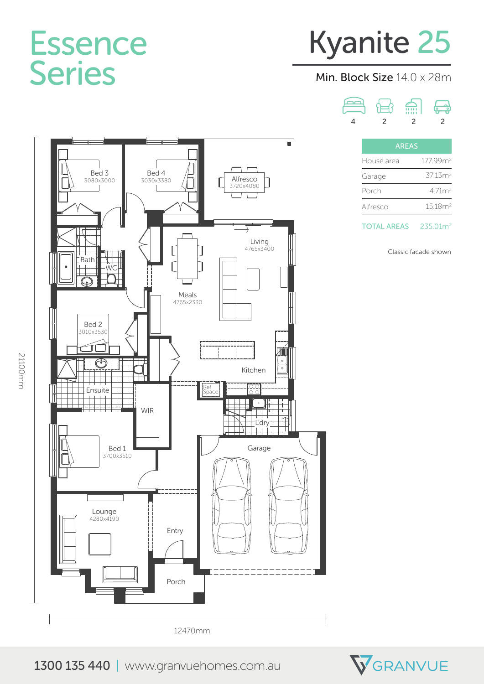### Essence Series

# Kyanite 25

#### Min. Block Size 14.0 x 28m

هصر fill  $\begin{smallmatrix} \begin{smallmatrix} \textcircled{\large\textcirc} \end{smallmatrix} \ \textcircled{\small\textcircled{\small\textcirc}} \end{smallmatrix}$ ਸੇ=ਿ 4 2 2 2

| <b>AREAS</b> |                      |
|--------------|----------------------|
| House area   | 177 99m <sup>2</sup> |
| Garage       | 3713m <sup>2</sup>   |
| Porch        | 471m <sup>2</sup>    |
| Alfresco     | 15.18m <sup>2</sup>  |



Classic facade shown









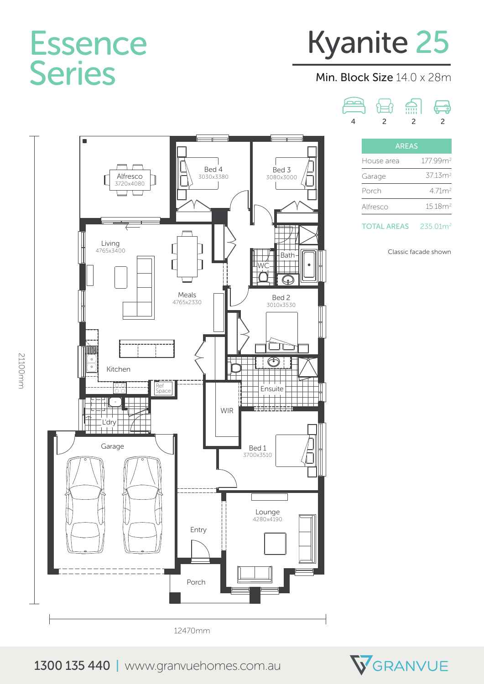### Essence Series

# Kyanite 25

#### Min. Block Size 14.0 x 28m

صص fill  $\begin{smallmatrix} \begin{smallmatrix} \textcircled{\large\textcirc} \end{smallmatrix} \ \textcircled{\small\textcircled{\small\textcirc}} \end{smallmatrix}$ ਮੇ=ਿ 4 2 2 2

| AREAS      |                      |
|------------|----------------------|
| House area | 177.99m <sup>2</sup> |
| Garage     | 37.13m <sup>2</sup>  |
| Porch      | 471m <sup>2</sup>    |
| Alfresco   | 1518m <sup>2</sup>   |
|            |                      |

TOTAL AREAS 235.01m<sup>2</sup>

Classic facade shown